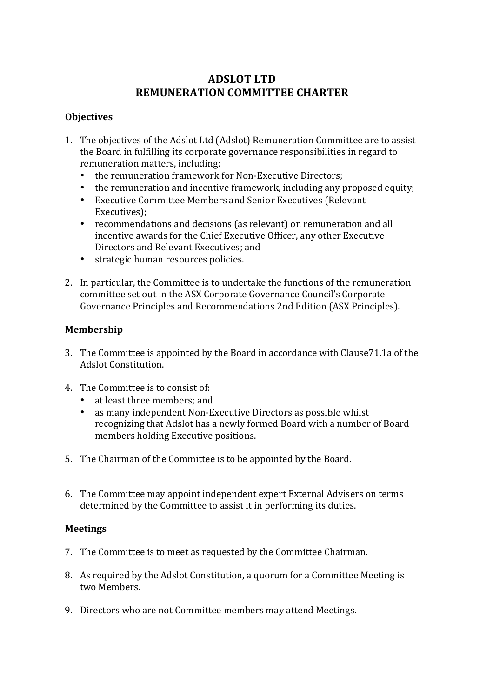## **ADSLOT LTD REMUNERATION COMMITTEE CHARTER**

#### **Objectives**

- 1. The objectives of the Adslot Ltd (Adslot) Remuneration Committee are to assist the Board in fulfilling its corporate governance responsibilities in regard to remuneration matters, including:
	- the remuneration framework for Non-Executive Directors;
	- the remuneration and incentive framework, including any proposed equity;
	- Executive Committee Members and Senior Executives (Relevant Executives);
	- recommendations and decisions (as relevant) on remuneration and all incentive awards for the Chief Executive Officer, any other Executive Directors and Relevant Executives: and
	- strategic human resources policies.
- 2. In particular, the Committee is to undertake the functions of the remuneration committee set out in the ASX Corporate Governance Council's Corporate Governance Principles and Recommendations 2nd Edition (ASX Principles).

## **Membership**

- 3. The Committee is appointed by the Board in accordance with Clause71.1a of the Adslot Constitution.
- 4. The Committee is to consist of:
	- at least three members; and
	- as many independent Non-Executive Directors as possible whilst recognizing that Adslot has a newly formed Board with a number of Board members holding Executive positions.
- 5. The Chairman of the Committee is to be appointed by the Board.
- 6. The Committee may appoint independent expert External Advisers on terms determined by the Committee to assist it in performing its duties.

#### **Meetings**

- 7. The Committee is to meet as requested by the Committee Chairman.
- 8. As required by the Adslot Constitution, a quorum for a Committee Meeting is two Members
- 9. Directors who are not Committee members may attend Meetings.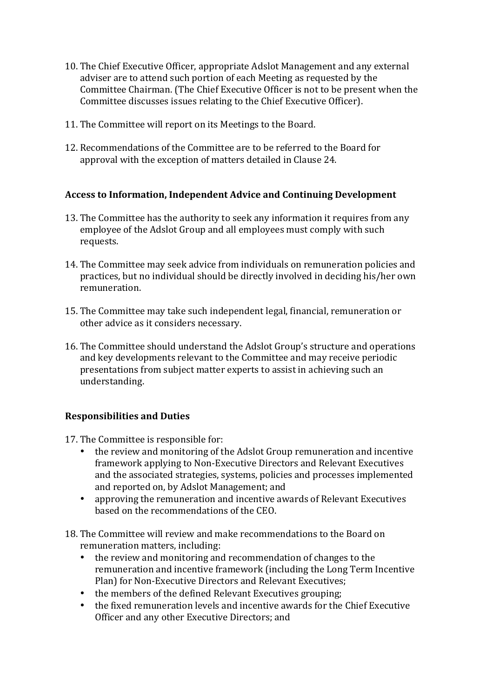- 10. The Chief Executive Officer, appropriate Adslot Management and any external adviser are to attend such portion of each Meeting as requested by the Committee Chairman. (The Chief Executive Officer is not to be present when the Committee discusses issues relating to the Chief Executive Officer).
- 11. The Committee will report on its Meetings to the Board.
- 12. Recommendations of the Committee are to be referred to the Board for approval with the exception of matters detailed in Clause 24.

#### Access to Information, Independent Advice and Continuing Development

- 13. The Committee has the authority to seek any information it requires from any employee of the Adslot Group and all employees must comply with such requests.
- 14. The Committee may seek advice from individuals on remuneration policies and practices, but no individual should be directly involved in deciding his/her own remuneration.
- 15. The Committee may take such independent legal, financial, remuneration or other advice as it considers necessary.
- 16. The Committee should understand the Adslot Group's structure and operations and key developments relevant to the Committee and may receive periodic presentations from subject matter experts to assist in achieving such an understanding.

#### **Responsibilities and Duties**

- 17. The Committee is responsible for:
	- the review and monitoring of the Adslot Group remuneration and incentive framework applying to Non-Executive Directors and Relevant Executives and the associated strategies, systems, policies and processes implemented and reported on, by Adslot Management; and
	- approving the remuneration and incentive awards of Relevant Executives based on the recommendations of the CEO.
- 18. The Committee will review and make recommendations to the Board on remuneration matters, including:
	- the review and monitoring and recommendation of changes to the remuneration and incentive framework (including the Long Term Incentive Plan) for Non-Executive Directors and Relevant Executives;
	- the members of the defined Relevant Executives grouping;
	- the fixed remuneration levels and incentive awards for the Chief Executive Officer and any other Executive Directors; and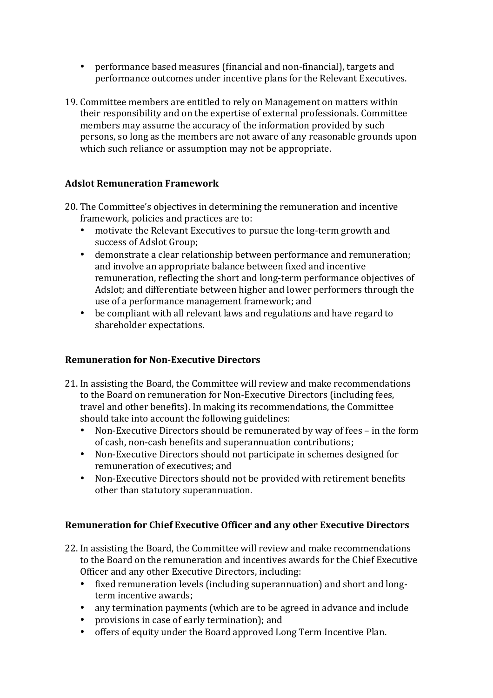- performance based measures (financial and non-financial), targets and performance outcomes under incentive plans for the Relevant Executives.
- 19. Committee members are entitled to rely on Management on matters within their responsibility and on the expertise of external professionals. Committee members may assume the accuracy of the information provided by such persons, so long as the members are not aware of any reasonable grounds upon which such reliance or assumption may not be appropriate.

## **Adslot Remuneration Framework**

- 20. The Committee's objectives in determining the remuneration and incentive framework, policies and practices are to:
	- motivate the Relevant Executives to pursue the long-term growth and success of Adslot Group:
	- demonstrate a clear relationship between performance and remuneration; and involve an appropriate balance between fixed and incentive remuneration, reflecting the short and long-term performance objectives of Adslot; and differentiate between higher and lower performers through the use of a performance management framework; and
	- be compliant with all relevant laws and regulations and have regard to shareholder expectations.

#### **Remuneration for Non-Executive Directors**

- 21. In assisting the Board, the Committee will review and make recommendations to the Board on remuneration for Non-Executive Directors (including fees, travel and other benefits). In making its recommendations, the Committee should take into account the following guidelines:
	- Non-Executive Directors should be remunerated by way of fees in the form of cash, non-cash benefits and superannuation contributions;
	- Non-Executive Directors should not participate in schemes designed for remuneration of executives: and
	- Non-Executive Directors should not be provided with retirement benefits other than statutory superannuation.

#### **Remuneration for Chief Executive Officer and any other Executive Directors**

- 22. In assisting the Board, the Committee will review and make recommendations to the Board on the remuneration and incentives awards for the Chief Executive Officer and any other Executive Directors, including:
	- fixed remuneration levels (including superannuation) and short and longterm incentive awards:
	- any termination payments (which are to be agreed in advance and include
	- provisions in case of early termination); and
	- offers of equity under the Board approved Long Term Incentive Plan.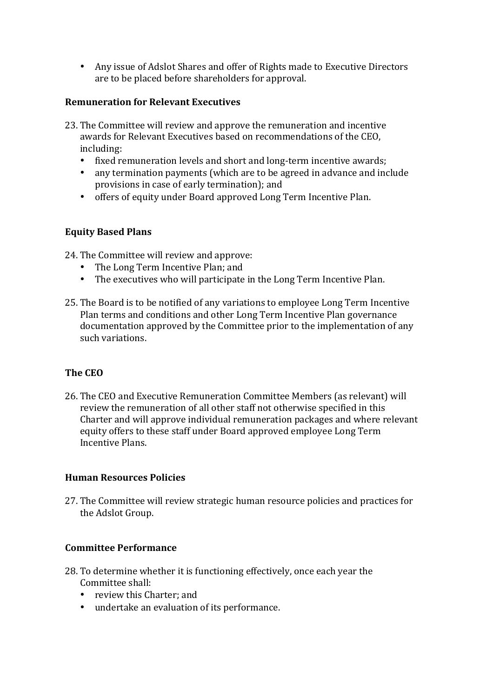• Any issue of Adslot Shares and offer of Rights made to Executive Directors are to be placed before shareholders for approval.

#### **Remuneration for Relevant Executives**

- 23. The Committee will review and approve the remuneration and incentive awards for Relevant Executives based on recommendations of the CEO. including:
	- fixed remuneration levels and short and long-term incentive awards;
	- any termination payments (which are to be agreed in advance and include provisions in case of early termination); and
	- offers of equity under Board approved Long Term Incentive Plan.

## **Equity Based Plans**

24. The Committee will review and approve:

- The Long Term Incentive Plan; and
- The executives who will participate in the Long Term Incentive Plan.
- 25. The Board is to be notified of any variations to employee Long Term Incentive Plan terms and conditions and other Long Term Incentive Plan governance documentation approved by the Committee prior to the implementation of any such variations.

## **The CEO**

26. The CEO and Executive Remuneration Committee Members (as relevant) will review the remuneration of all other staff not otherwise specified in this Charter and will approve individual remuneration packages and where relevant equity offers to these staff under Board approved employee Long Term Incentive Plans.

#### **Human Resources Policies**

27. The Committee will review strategic human resource policies and practices for the Adslot Group.

#### **Committee Performance**

- 28. To determine whether it is functioning effectively, once each year the Committee shall:
	- review this Charter: and
	- undertake an evaluation of its performance.